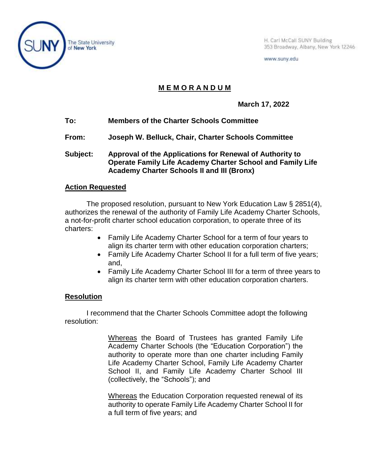

H. Carl McCall SUNY Building 353 Broadway, Albany, New York 12246

www.suny.edu

## **M E M O R A N D U M**

**March 17, 2022**

- **To: Members of the Charter Schools Committee**
- **From: Joseph W. Belluck, Chair, Charter Schools Committee**
- **Subject: Approval of the Applications for Renewal of Authority to Operate Family Life Academy Charter School and Family Life Academy Charter Schools II and III (Bronx)**

## **Action Requested**

The proposed resolution, pursuant to New York Education Law § 2851(4), authorizes the renewal of the authority of Family Life Academy Charter Schools, a not-for-profit charter school education corporation, to operate three of its charters:

- Family Life Academy Charter School for a term of four years to align its charter term with other education corporation charters;
- Family Life Academy Charter School II for a full term of five years; and,
- Family Life Academy Charter School III for a term of three years to align its charter term with other education corporation charters.

## **Resolution**

I recommend that the Charter Schools Committee adopt the following resolution:

> Whereas the Board of Trustees has granted Family Life Academy Charter Schools (the "Education Corporation") the authority to operate more than one charter including Family Life Academy Charter School, Family Life Academy Charter School II, and Family Life Academy Charter School III (collectively, the "Schools"); and

> Whereas the Education Corporation requested renewal of its authority to operate Family Life Academy Charter School II for a full term of five years; and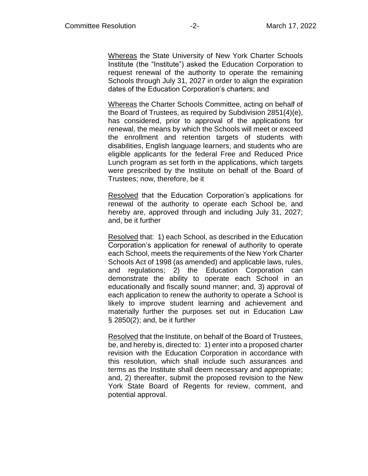Whereas the State University of New York Charter Schools Institute (the "Institute") asked the Education Corporation to request renewal of the authority to operate the remaining Schools through July 31, 2027 in order to align the expiration dates of the Education Corporation's charters; and

Whereas the Charter Schools Committee, acting on behalf of the Board of Trustees, as required by Subdivision 2851(4)(e), has considered, prior to approval of the applications for renewal, the means by which the Schools will meet or exceed the enrollment and retention targets of students with disabilities, English language learners, and students who are eligible applicants for the federal Free and Reduced Price Lunch program as set forth in the applications, which targets were prescribed by the Institute on behalf of the Board of Trustees; now, therefore, be it

Resolved that the Education Corporation's applications for renewal of the authority to operate each School be, and hereby are, approved through and including July 31, 2027; and, be it further

Resolved that: 1) each School, as described in the Education Corporation's application for renewal of authority to operate each School, meets the requirements of the New York Charter Schools Act of 1998 (as amended) and applicable laws, rules, and regulations; 2) the Education Corporation can demonstrate the ability to operate each School in an educationally and fiscally sound manner; and, 3) approval of each application to renew the authority to operate a School is likely to improve student learning and achievement and materially further the purposes set out in Education Law § 2850(2); and, be it further

Resolved that the Institute, on behalf of the Board of Trustees, be, and hereby is, directed to: 1) enter into a proposed charter revision with the Education Corporation in accordance with this resolution, which shall include such assurances and terms as the Institute shall deem necessary and appropriate; and, 2) thereafter, submit the proposed revision to the New York State Board of Regents for review, comment, and potential approval.